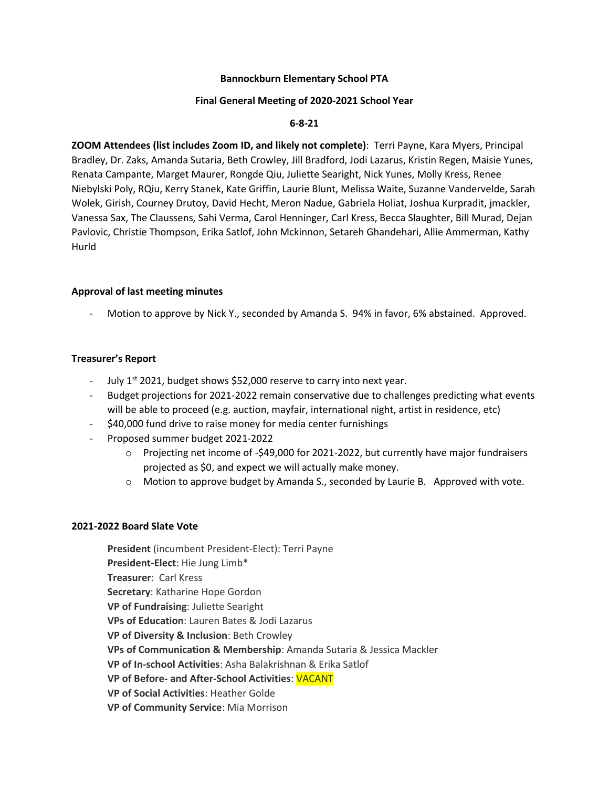# **Bannockburn Elementary School PTA**

#### **Final General Meeting of 2020-2021 School Year**

### **6-8-21**

**ZOOM Attendees (list includes Zoom ID, and likely not complete)**: Terri Payne, Kara Myers, Principal Bradley, Dr. Zaks, Amanda Sutaria, Beth Crowley, Jill Bradford, Jodi Lazarus, Kristin Regen, Maisie Yunes, Renata Campante, Marget Maurer, Rongde Qiu, Juliette Searight, Nick Yunes, Molly Kress, Renee Niebylski Poly, RQiu, Kerry Stanek, Kate Griffin, Laurie Blunt, Melissa Waite, Suzanne Vandervelde, Sarah Wolek, Girish, Courney Drutoy, David Hecht, Meron Nadue, Gabriela Holiat, Joshua Kurpradit, jmackler, Vanessa Sax, The Claussens, Sahi Verma, Carol Henninger, Carl Kress, Becca Slaughter, Bill Murad, Dejan Pavlovic, Christie Thompson, Erika Satlof, John Mckinnon, Setareh Ghandehari, Allie Ammerman, Kathy Hurld

#### **Approval of last meeting minutes**

Motion to approve by Nick Y., seconded by Amanda S. 94% in favor, 6% abstained. Approved.

### **Treasurer's Report**

- July  $1<sup>st</sup>$  2021, budget shows \$52,000 reserve to carry into next year.
- Budget projections for 2021-2022 remain conservative due to challenges predicting what events will be able to proceed (e.g. auction, mayfair, international night, artist in residence, etc)
- \$40,000 fund drive to raise money for media center furnishings
- Proposed summer budget 2021-2022
	- $\circ$  Projecting net income of -\$49,000 for 2021-2022, but currently have major fundraisers projected as \$0, and expect we will actually make money.
	- $\circ$  Motion to approve budget by Amanda S., seconded by Laurie B. Approved with vote.

#### **2021-2022 Board Slate Vote**

**President** (incumbent President-Elect): Terri Payne **President-Elect**: Hie Jung Limb\* **Treasurer**: Carl Kress **Secretary**: Katharine Hope Gordon **VP of Fundraising**: Juliette Searight **VPs of Education**: Lauren Bates & Jodi Lazarus **VP of Diversity & Inclusion**: Beth Crowley **VPs of Communication & Membership**: Amanda Sutaria & Jessica Mackler **VP of In-school Activities**: Asha Balakrishnan & Erika Satlof **VP of Before- and After-School Activities**: VACANT **VP of Social Activities**: Heather Golde **VP of Community Service**: Mia Morrison